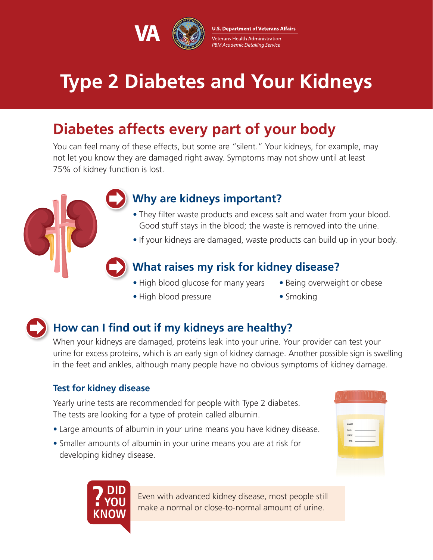

**U.S. Department of Veterans Affairs** Veterans Health Administration PBM Academic Detailing Service

# **Type 2 Diabetes and Your Kidneys**

## **Diabetes affects every part of your body**

You can feel many of these effects, but some are "silent." Your kidneys, for example, may not let you know they are damaged right away. Symptoms may not show until at least 75% of kidney function is lost.

### **Why are kidneys important?**

- They filter waste products and excess salt and water from your blood. Good stuff stays in the blood; the waste is removed into the urine.
- If your kidneys are damaged, waste products can build up in your body.

### **What raises my risk for kidney disease?**

- High blood glucose for many years
- High blood pressure
- Being overweight or obese
- Smoking

### **How can I find out if my kidneys are healthy?**

When your kidneys are damaged, proteins leak into your urine. Your provider can test your urine for excess proteins, which is an early sign of kidney damage. Another possible sign is swelling in the feet and ankles, although many people have no obvious symptoms of kidney damage.

### **Test for kidney disease**

Yearly urine tests are recommended for people with Type 2 diabetes. The tests are looking for a type of protein called albumin.

- Large amounts of albumin in your urine means you have kidney disease.
- Smaller amounts of albumin in your urine means you are at risk for developing kidney disease.

| NAME A STREET<br>AGE <b>AGE</b><br>DATE PARTIES |  |  |
|-------------------------------------------------|--|--|
|                                                 |  |  |

**? DID YOU KNOW**

Even with advanced kidney disease, most people still make a normal or close-to-normal amount of urine.